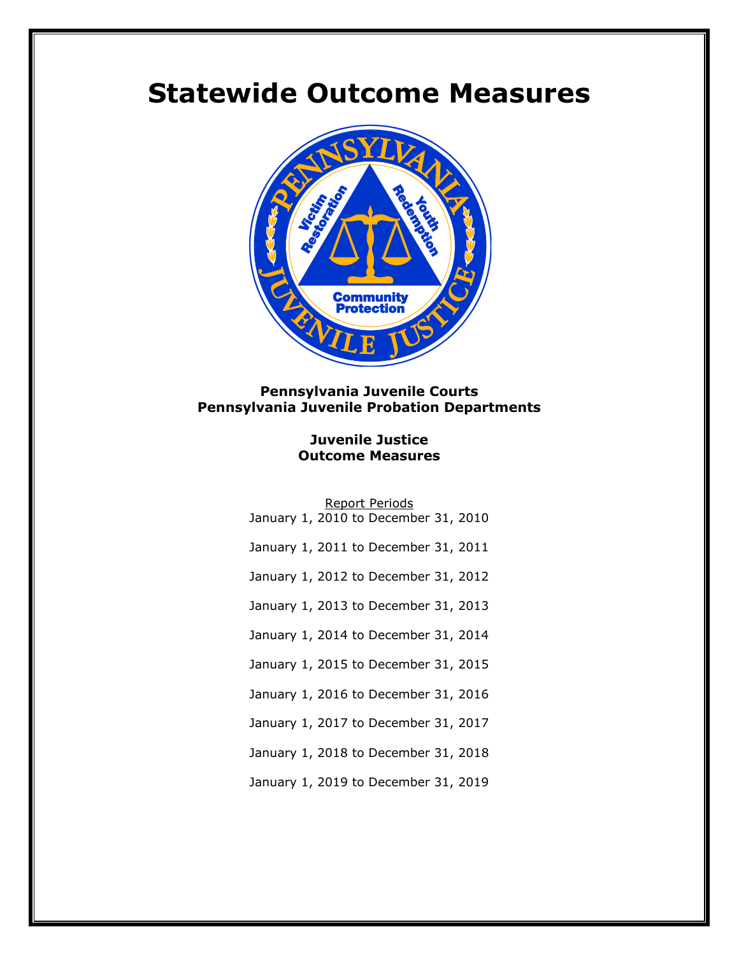# **Statewide Outcome Measures**



### **Pennsylvania Juvenile Courts Pennsylvania Juvenile Probation Departments**

#### **Juvenile Justice Outcome Measures**

|  |  | <b>Report Periods</b>                |  |
|--|--|--------------------------------------|--|
|  |  | January 1, 2010 to December 31, 2010 |  |
|  |  | January 1, 2011 to December 31, 2011 |  |
|  |  | January 1, 2012 to December 31, 2012 |  |
|  |  | January 1, 2013 to December 31, 2013 |  |
|  |  | January 1, 2014 to December 31, 2014 |  |
|  |  | January 1, 2015 to December 31, 2015 |  |
|  |  | January 1, 2016 to December 31, 2016 |  |
|  |  | January 1, 2017 to December 31, 2017 |  |
|  |  | January 1, 2018 to December 31, 2018 |  |
|  |  | January 1, 2019 to December 31, 2019 |  |
|  |  |                                      |  |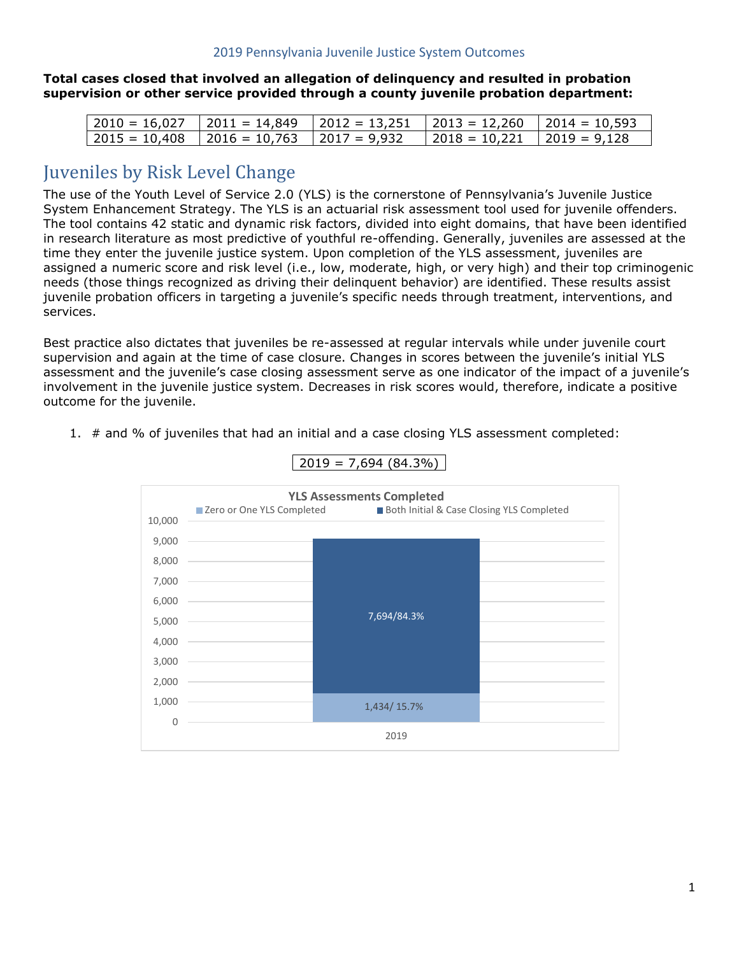**Total cases closed that involved an allegation of delinquency and resulted in probation supervision or other service provided through a county juvenile probation department:**

| 2010 = 16,027     2011 = 14,849     2012 = 13,251     2013 = 12,260     2014 = 10,593 |                                  |  |
|---------------------------------------------------------------------------------------|----------------------------------|--|
| 2015 = 10,408     2016 = 10,763     2017 = 9,932                                      | $ 2018 = 10,221$ $ 2019 = 9,128$ |  |

## Juveniles by Risk Level Change

The use of the Youth Level of Service 2.0 (YLS) is the cornerstone of Pennsylvania's Juvenile Justice System Enhancement Strategy. The YLS is an actuarial risk assessment tool used for juvenile offenders. The tool contains 42 static and dynamic risk factors, divided into eight domains, that have been identified in research literature as most predictive of youthful re-offending. Generally, juveniles are assessed at the time they enter the juvenile justice system. Upon completion of the YLS assessment, juveniles are assigned a numeric score and risk level (i.e., low, moderate, high, or very high) and their top criminogenic needs (those things recognized as driving their delinquent behavior) are identified. These results assist juvenile probation officers in targeting a juvenile's specific needs through treatment, interventions, and services.

Best practice also dictates that juveniles be re-assessed at regular intervals while under juvenile court supervision and again at the time of case closure. Changes in scores between the juvenile's initial YLS assessment and the juvenile's case closing assessment serve as one indicator of the impact of a juvenile's involvement in the juvenile justice system. Decreases in risk scores would, therefore, indicate a positive outcome for the juvenile.



1. # and % of juveniles that had an initial and a case closing YLS assessment completed:

1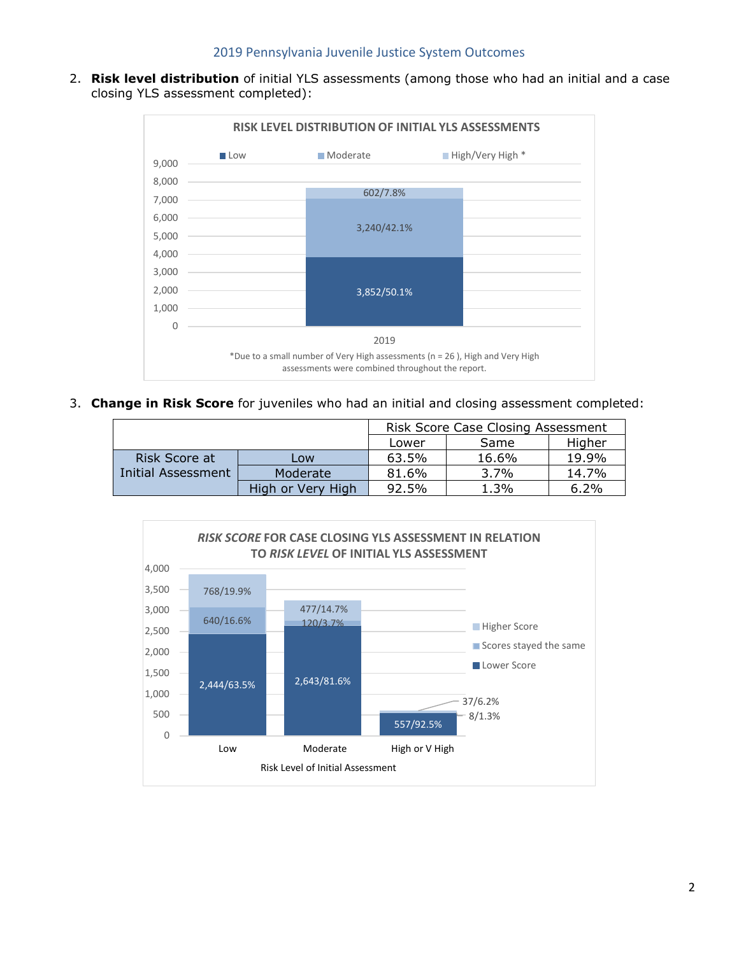2. **Risk level distribution** of initial YLS assessments (among those who had an initial and a case closing YLS assessment completed):



3. **Change in Risk Score** for juveniles who had an initial and closing assessment completed:

|                    |                   | <b>Risk Score Case Closing Assessment</b> |         |         |
|--------------------|-------------------|-------------------------------------------|---------|---------|
|                    |                   | Lower                                     | Same    | Higher  |
| Risk Score at      | Low               | 63.5%                                     | 16.6%   | 19.9%   |
| Initial Assessment | Moderate          | 81.6%                                     | $3.7\%$ | 14.7%   |
|                    | High or Very High | 92.5%                                     | 1.3%    | $6.2\%$ |

![](_page_2_Figure_5.jpeg)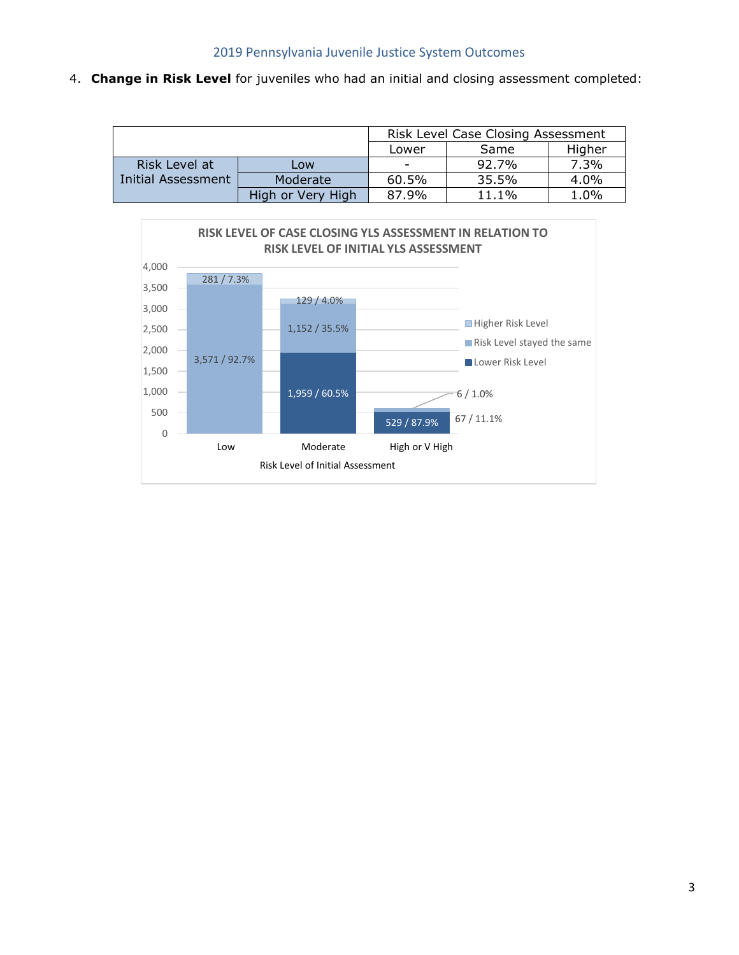4. **Change in Risk Level** for juveniles who had an initial and closing assessment completed:

|                    |                   | Risk Level Case Closing Assessment |          |      |
|--------------------|-------------------|------------------------------------|----------|------|
|                    |                   | Higher<br>Same<br>Lower            |          |      |
| Risk Level at      | Low               | $\overline{\phantom{0}}$           | 92.7%    | 7.3% |
| Initial Assessment | Moderate          | 60.5%                              | 35.5%    | 4.0% |
|                    | High or Very High | 87.9%                              | $11.1\%$ | 1.0% |

![](_page_3_Figure_3.jpeg)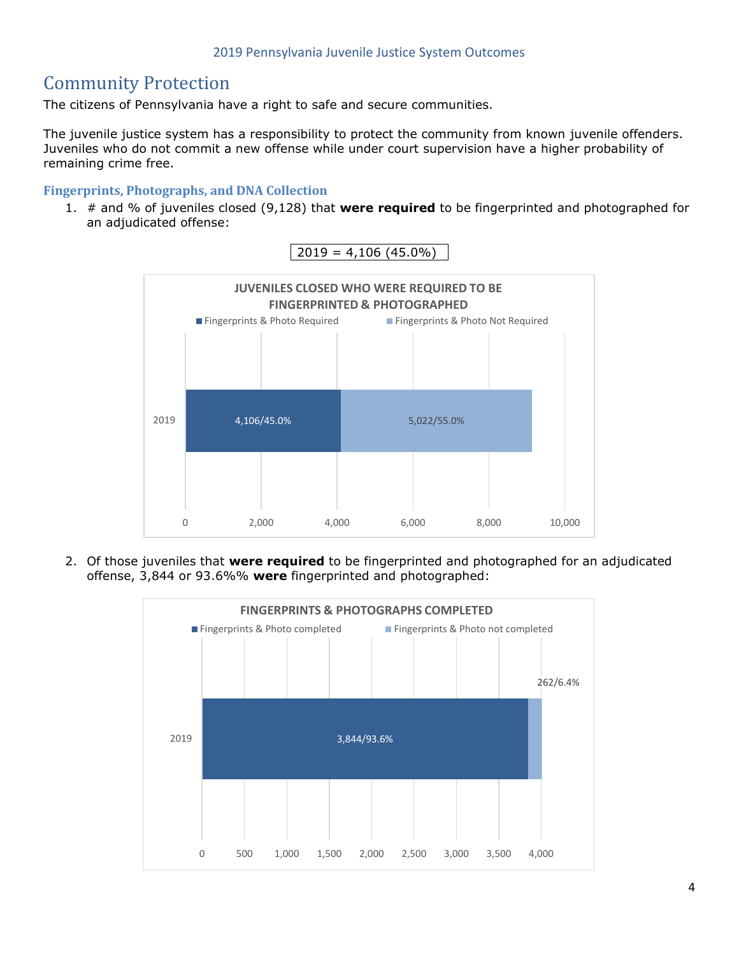# Community Protection

The citizens of Pennsylvania have a right to safe and secure communities.

The juvenile justice system has a responsibility to protect the community from known juvenile offenders. Juveniles who do not commit a new offense while under court supervision have a higher probability of remaining crime free.

#### **Fingerprints, Photographs, and DNA Collection**

1. # and % of juveniles closed (9,128) that **were required** to be fingerprinted and photographed for an adjudicated offense:

![](_page_4_Figure_6.jpeg)

2. Of those juveniles that **were required** to be fingerprinted and photographed for an adjudicated offense, 3,844 or 93.6%% **were** fingerprinted and photographed:

![](_page_4_Figure_8.jpeg)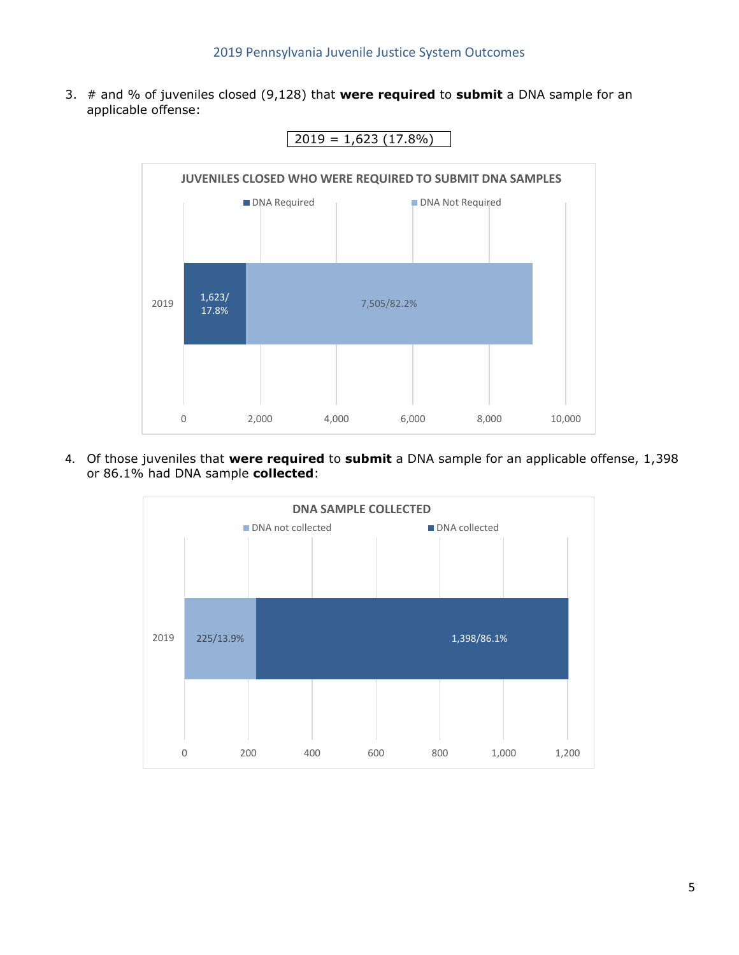3. # and % of juveniles closed (9,128) that **were required** to **submit** a DNA sample for an applicable offense:

![](_page_5_Figure_2.jpeg)

 $2019 = 1,623(17.8%)$ 

4. Of those juveniles that **were required** to **submit** a DNA sample for an applicable offense, 1,398 or 86.1% had DNA sample **collected**:

![](_page_5_Figure_5.jpeg)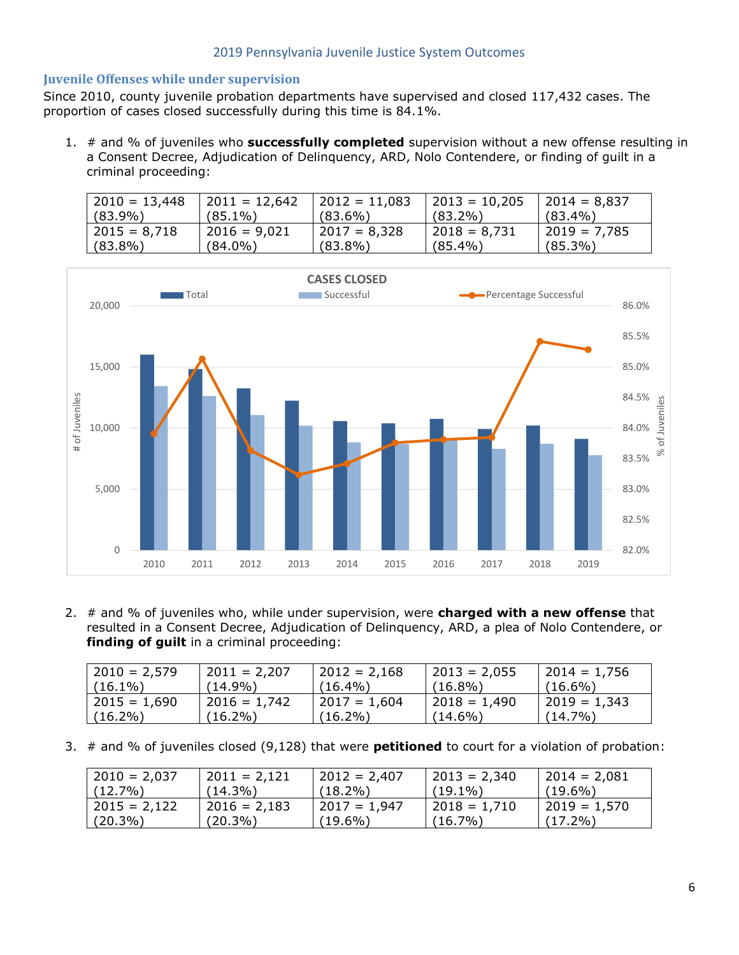#### **Juvenile Offenses while under supervision**

Since 2010, county juvenile probation departments have supervised and closed 117,432 cases. The proportion of cases closed successfully during this time is 84.1%.

1. # and % of juveniles who **successfully completed** supervision without a new offense resulting in a Consent Decree, Adjudication of Delinquency, ARD, Nolo Contendere, or finding of guilt in a criminal proceeding:

| $2010 = 13,448$ | $2011 = 12,642$ | $2012 = 11,083$ | $ 2013 = 10,205$ | $ 2014 = 8,837$ |
|-----------------|-----------------|-----------------|------------------|-----------------|
| $(83.9\%)$      | $(85.1\%)$      | $(83.6\%)$      | $(83.2\%)$       | $(83.4\%)$      |
| $2015 = 8,718$  | $12016 = 9,021$ | $2017 = 8.328$  | $ 2018 = 8,731$  | $ 2019 = 7,785$ |
| $(83.8\%)$      | $(84.0\%)$      | $(83.8\%)$      | $(85.4\%)$       | $(85.3\%)$      |

![](_page_6_Figure_5.jpeg)

2. # and % of juveniles who, while under supervision, were **charged with a new offense** that resulted in a Consent Decree, Adjudication of Delinquency, ARD, a plea of Nolo Contendere, or **finding of guilt** in a criminal proceeding:

| $2010 = 2,579$ | $2011 = 2,207$ | $2012 = 2,168$ | $12013 = 2,055$ | $2014 = 1,756$ |
|----------------|----------------|----------------|-----------------|----------------|
| $(16.1\%)$     | (14.9%)        | $(16.4\%)$     | $(16.8\%)$      | $(16.6\%)$     |
| $2015 = 1.690$ | $2016 = 1.742$ | $2017 = 1.604$ | $12018 = 1,490$ | 2019 = 1,343   |
| $(16.2\%)$     | $(16.2\%)$     | $(16.2\%)$     | $(14.6\%)$      | $(14.7\%)$     |

3. # and % of juveniles closed (9,128) that were **petitioned** to court for a violation of probation:

| $ 2010 = 2,037$ | $2011 = 2,121$ | $2012 = 2,407$ | $ 2013 = 2,340$ | $ 2014 = 2,081$ |
|-----------------|----------------|----------------|-----------------|-----------------|
| $(12.7\%)$      | $(14.3\%)$     | $(18.2\%)$     | $(19.1\%)$      | $(19.6\%)$      |
| $ 2015 = 2,122$ | $2016 = 2,183$ | 2017 = 1,947   | $ 2018 = 1,710$ | $ 2019 = 1,570$ |
| $(20.3\%)$      | $(20.3\%)$     | $(19.6\%)$     | $(16.7\%)$      | $(17.2\%)$      |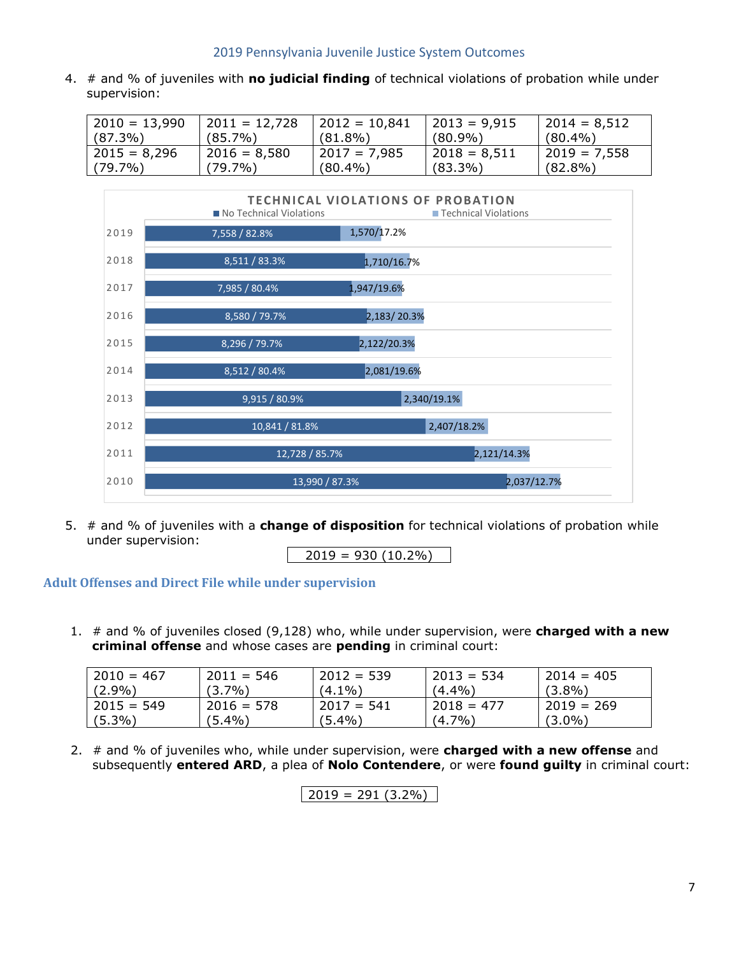4. # and % of juveniles with **no judicial finding** of technical violations of probation while under supervision:

| $2010 = 13,990$ | $2011 = 12,728$ | $2012 = 10,841$ | 2013 = 9,915   | $ 2014 = 8,512$ |
|-----------------|-----------------|-----------------|----------------|-----------------|
| $(87.3\%)$      | $(85.7\%)$      | $(81.8\%)$      | $(80.9\%)$     | $(80.4\%)$      |
| $2015 = 8.296$  | $2016 = 8.580$  | $2017 = 7.985$  | l 2018 = 8,511 | 2019 = 7,558    |
| $(79.7\%)$      | (79.7%)         | $(80.4\%)$      | $(83.3\%)$     | $(82.8\%)$      |

![](_page_7_Figure_3.jpeg)

5. # and % of juveniles with a **change of disposition** for technical violations of probation while under supervision:

 $2019 = 930 (10.2\%)$ 

**Adult Offenses and Direct File while under supervision**

1. # and % of juveniles closed (9,128) who, while under supervision, were **charged with a new criminal offense** and whose cases are **pending** in criminal court:

| $2010 = 467$ | $2011 = 546$ | $2012 = 539$ | $2013 = 534$ | $2014 = 405$ |
|--------------|--------------|--------------|--------------|--------------|
| (2.9%)       | $(3.7\%)$    | (4.1%)       | $(4.4\%)$    | $(3.8\%)$    |
| $2015 = 549$ | $2016 = 578$ | $2017 = 541$ | $2018 = 477$ | $2019 = 269$ |
| $(5.3\%)$    | $(5.4\%)$    | $(5.4\%$     | $7\%$<br>(4, | $(3.0\%)$    |

2. # and % of juveniles who, while under supervision, were **charged with a new offense** and subsequently **entered ARD**, a plea of **Nolo Contendere**, or were **found guilty** in criminal court:

 $2019 = 291 (3.2\%)$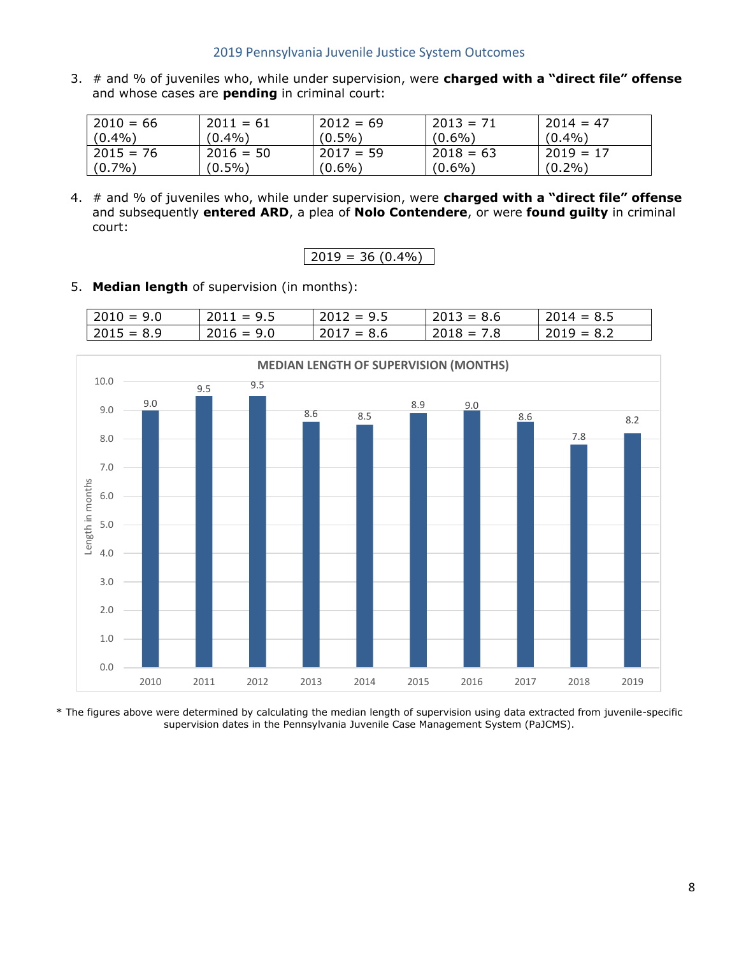3. # and % of juveniles who, while under supervision, were **charged with a "direct file" offense** and whose cases are **pending** in criminal court:

| $2010 = 66$  | $2011 = 61$ | $2012 = 69$ | $2013 = 71$ | $2014 = 47$ |
|--------------|-------------|-------------|-------------|-------------|
| $(0.4\%)$    | $(0.4\%)$   | $(0.5\%)$   | $(0.6\%)$   | $(0.4\%)$   |
| $12015 = 76$ | $2016 = 50$ | $2017 = 59$ | $2018 = 63$ | $2019 = 17$ |
| $(0.7\%)$    | $(0.5\%)$   | $(0.6\%)$   | $(0.6\%)$   | $(0.2\%)$   |

4. # and % of juveniles who, while under supervision, were **charged with a "direct file" offense** and subsequently **entered ARD**, a plea of **Nolo Contendere**, or were **found guilty** in criminal court:

#### 5. **Median length** of supervision (in months):

| $ 2010 = 9.0$ | $2011 = 9.5$ | $12012 = 9.5$ | $2013 = 8.6$ | $12014 = 8.5$ |
|---------------|--------------|---------------|--------------|---------------|
| $ 2015 = 8.9$ | $2016 = 9.0$ | $2017 = 8.6$  | $2018 = 7.8$ | $2019 = 8.2$  |

![](_page_8_Figure_7.jpeg)

\* The figures above were determined by calculating the median length of supervision using data extracted from juvenile-specific supervision dates in the Pennsylvania Juvenile Case Management System (PaJCMS).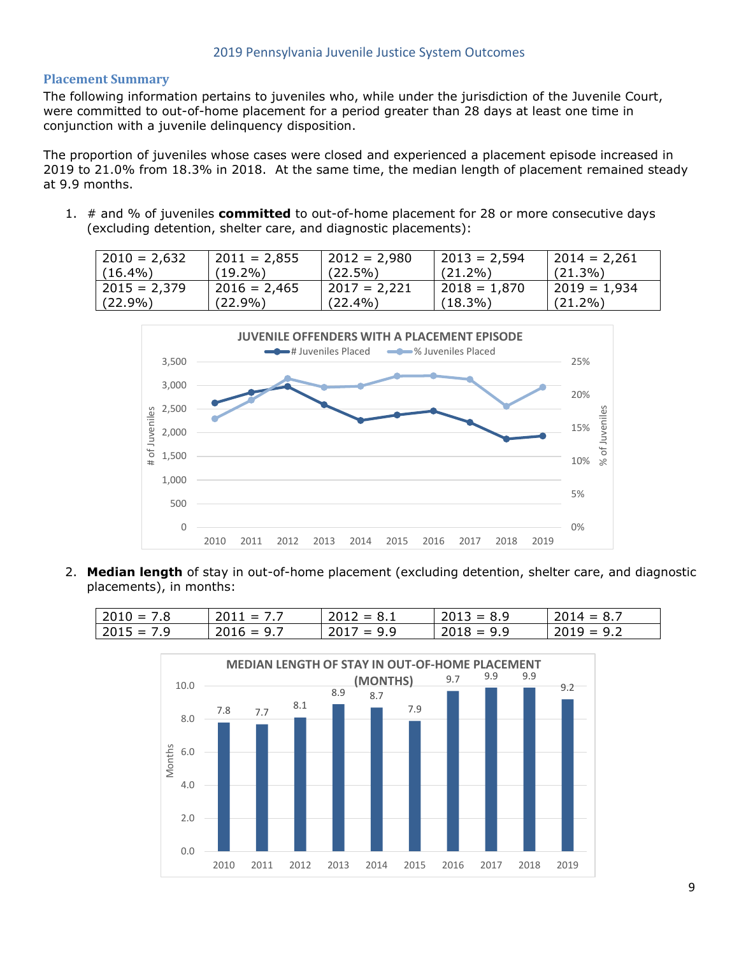#### **Placement Summary**

The following information pertains to juveniles who, while under the jurisdiction of the Juvenile Court, were committed to out-of-home placement for a period greater than 28 days at least one time in conjunction with a juvenile delinquency disposition.

The proportion of juveniles whose cases were closed and experienced a placement episode increased in 2019 to 21.0% from 18.3% in 2018. At the same time, the median length of placement remained steady at 9.9 months.

1. # and % of juveniles **committed** to out-of-home placement for 28 or more consecutive days (excluding detention, shelter care, and diagnostic placements):

| $ 2010 = 2,632$ | $2011 = 2,855$  | $2012 = 2,980$ | $12013 = 2,594$ | $ 2014 = 2,261$ |
|-----------------|-----------------|----------------|-----------------|-----------------|
| $(16.4\%)$      | (19.2%)         | $(22.5\%)$     | $(21.2\%)$      | $(21.3\%)$      |
| 2015 = 2,379    | $12016 = 2,465$ | $2017 = 2.221$ | 2018 = 1,870    | $12019 = 1.934$ |
| $(22.9\%)$      | $(22.9\%)$      | $(22.4\%)$     | $(18.3\%)$      | $(21.2\%)$      |

![](_page_9_Figure_6.jpeg)

2. **Median length** of stay in out-of-home placement (excluding detention, shelter care, and diagnostic placements), in months:

| $2010 = 7.8$ | $2011 = 7.7$ | $2012 = 8.1$ | $2013 = 8.9$ | $2014 = 8.7$ |
|--------------|--------------|--------------|--------------|--------------|
| $2015 = 7.9$ | $2016 = 9.7$ | $2017 = 9.9$ | $2018 = 9.9$ | $2019 = 9.2$ |

![](_page_9_Figure_9.jpeg)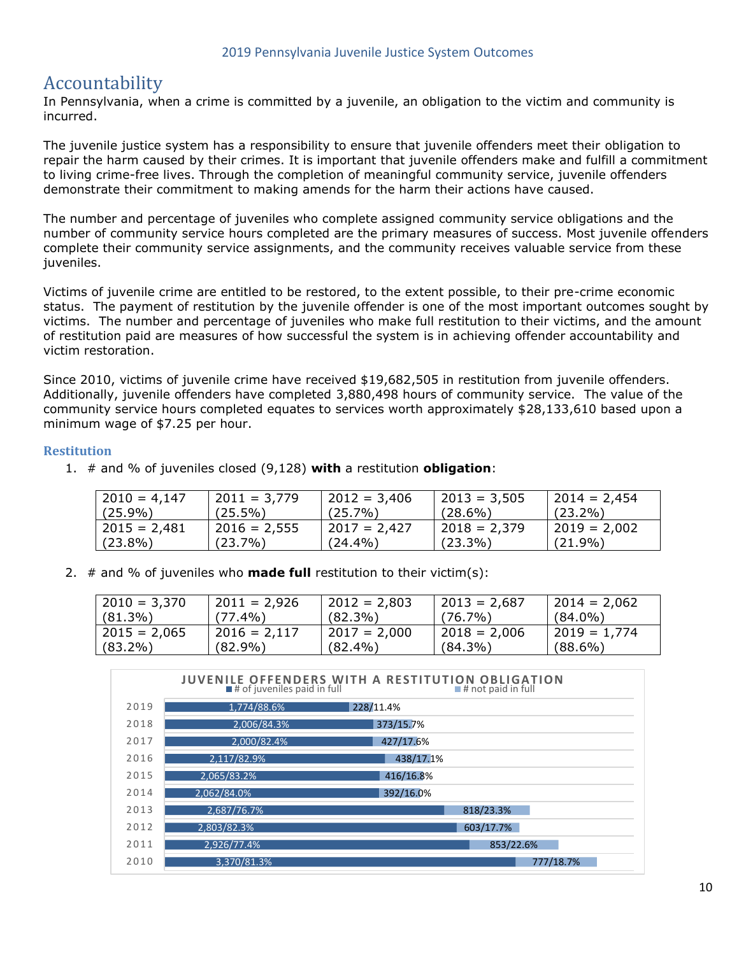## Accountability

In Pennsylvania, when a crime is committed by a juvenile, an obligation to the victim and community is incurred.

The juvenile justice system has a responsibility to ensure that juvenile offenders meet their obligation to repair the harm caused by their crimes. It is important that juvenile offenders make and fulfill a commitment to living crime-free lives. Through the completion of meaningful community service, juvenile offenders demonstrate their commitment to making amends for the harm their actions have caused.

The number and percentage of juveniles who complete assigned community service obligations and the number of community service hours completed are the primary measures of success. Most juvenile offenders complete their community service assignments, and the community receives valuable service from these juveniles.

Victims of juvenile crime are entitled to be restored, to the extent possible, to their pre-crime economic status. The payment of restitution by the juvenile offender is one of the most important outcomes sought by victims. The number and percentage of juveniles who make full restitution to their victims, and the amount of restitution paid are measures of how successful the system is in achieving offender accountability and victim restoration.

Since 2010, victims of juvenile crime have received \$19,682,505 in restitution from juvenile offenders. Additionally, juvenile offenders have completed 3,880,498 hours of community service. The value of the community service hours completed equates to services worth approximately \$28,133,610 based upon a minimum wage of \$7.25 per hour.

#### **Restitution**

| $2010 = 4,147$ | $2011 = 3,779$ | $ 2012 = 3,406$ | $2013 = 3,505$ | $2014 = 2,454$  |
|----------------|----------------|-----------------|----------------|-----------------|
| $(25.9\%)$     | $(25.5\%)$     | $(25.7\%)$      | $(28.6\%)$     | $(23.2\%)$      |
| $2015 = 2,481$ | $2016 = 2,555$ | 2017 = 2.427    | $2018 = 2,379$ | $ 2019 = 2,002$ |
| $(23.8\%)$     | $(23.7\%)$     | $(24.4\%)$      | $(23.3\%)$     | $(21.9\%)$      |

- 1. # and % of juveniles closed (9,128) **with** a restitution **obligation**:
- 2. # and % of juveniles who **made full** restitution to their victim(s):

| $2010 = 3,370$ | $2011 = 2,926$ | $2012 = 2,803$ | $ 2013 = 2,687$ | $ 2014 = 2,062$ |
|----------------|----------------|----------------|-----------------|-----------------|
| $(81.3\%)$     | $(77.4\%)$     | $(82.3\%)$     | $(76.7\%)$      | $(84.0\%)$      |
| $2015 = 2,065$ | $2016 = 2,117$ | $2017 = 2.000$ | $ 2018 = 2,006$ | 2019 = 1,774    |
| $(83.2\%)$     | $(82.9\%)$     | $(82.4\%)$     | $(84.3\%)$      | $(88.6\%)$      |

|      | $\blacksquare$ # of juveniles paid in full | <b>JUVENILE OFFENDERS WITH A RESTITUTION OBLIGATION</b><br>$\blacksquare$ # not paid in full |
|------|--------------------------------------------|----------------------------------------------------------------------------------------------|
| 2019 | 1,774/88.6%                                | 228/11.4%                                                                                    |
| 2018 | 2.006/84.3%                                | 373/15.7%                                                                                    |
| 2017 | 2,000/82.4%                                | 427/17.6%                                                                                    |
| 2016 | 2.117/82.9%                                | 438/17.1%                                                                                    |
| 2015 | 2,065/83.2%                                | 416/16.8%                                                                                    |
| 2014 | 2,062/84.0%                                | 392/16.0%                                                                                    |
| 2013 | 2,687/76.7%                                | 818/23.3%                                                                                    |
| 2012 | 2,803/82.3%                                | 603/17.7%                                                                                    |
| 2011 | 2,926/77.4%                                | 853/22.6%                                                                                    |
| 2010 | 3.370/81.3%                                | 777/18.7%                                                                                    |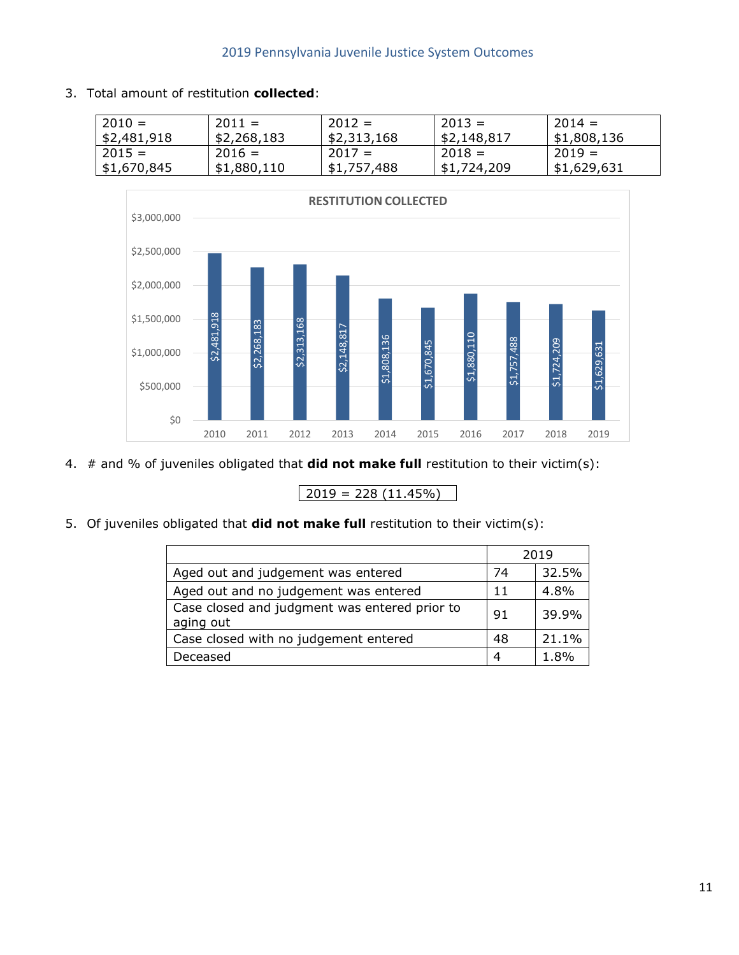3. Total amount of restitution **collected**:

| $2010 =$    | $2011 =$    | $2012 =$    | $2013 =$    | $2014 =$    |
|-------------|-------------|-------------|-------------|-------------|
| \$2,481,918 | \$2,268,183 | \$2,313,168 | \$2,148,817 | \$1,808,136 |
| $2015 =$    | $2016 =$    | $2017 =$    | $2018 =$    | $2019 =$    |
| \$1,670,845 | \$1,880,110 | \$1,757,488 | \$1,724,209 | \$1,629,631 |

![](_page_11_Figure_3.jpeg)

4. # and % of juveniles obligated that **did not make full** restitution to their victim(s):

5. Of juveniles obligated that **did not make full** restitution to their victim(s):

|                                                            |    | 2019  |
|------------------------------------------------------------|----|-------|
| Aged out and judgement was entered                         | 74 | 32.5% |
| Aged out and no judgement was entered                      | 11 | 4.8%  |
| Case closed and judgment was entered prior to<br>aging out | 91 | 39.9% |
| Case closed with no judgement entered                      | 48 | 21.1% |
| Deceased                                                   | ⊿  | 1.8%  |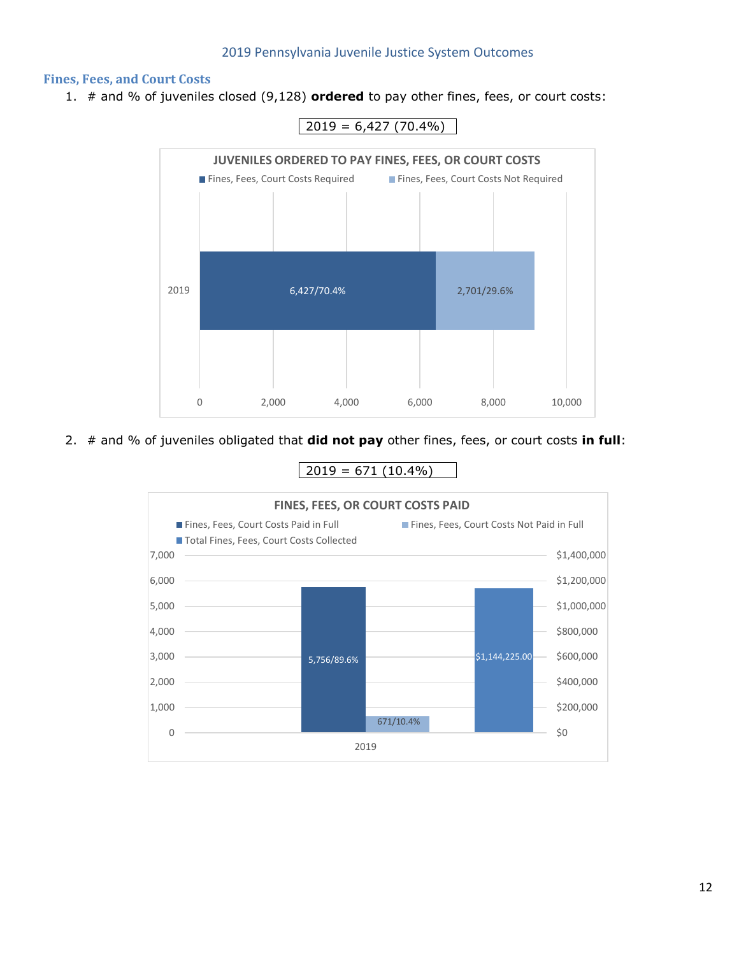#### **Fines, Fees, and Court Costs**

1. # and % of juveniles closed (9,128) **ordered** to pay other fines, fees, or court costs:

![](_page_12_Figure_3.jpeg)

 $2019 = 6,427(70.4\%)$ 

2. # and % of juveniles obligated that **did not pay** other fines, fees, or court costs **in full**:

 $2019 = 671 (10.4\%)$ 

![](_page_12_Figure_7.jpeg)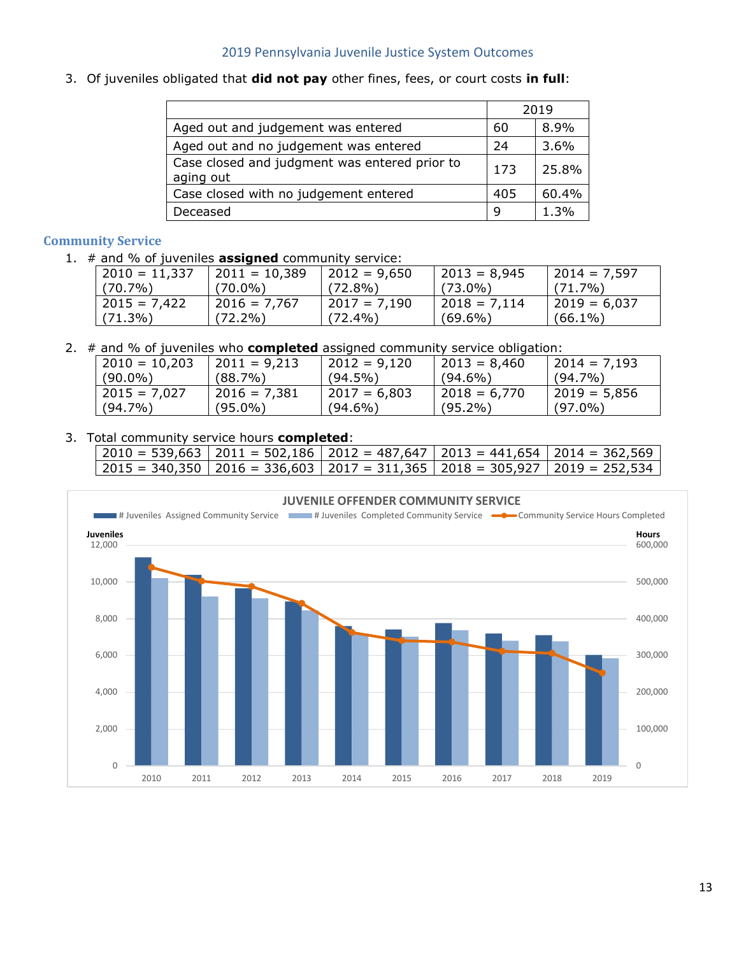3. Of juveniles obligated that **did not pay** other fines, fees, or court costs **in full**:

|                                                            |     | 2019  |
|------------------------------------------------------------|-----|-------|
| Aged out and judgement was entered                         | 60  | 8.9%  |
| Aged out and no judgement was entered                      | 24  | 3.6%  |
| Case closed and judgment was entered prior to<br>aging out | 173 | 25.8% |
| Case closed with no judgement entered                      | 405 | 60.4% |
| Deceased                                                   | q   | 1.3%  |

#### **Community Service**

1. # and % of juveniles **assigned** community service:

| $2010 = 11,337$ | $2011 = 10,389$ | $2012 = 9,650$ | $ 2013 = 8,945$ | $ 2014 = 7.597$ |
|-----------------|-----------------|----------------|-----------------|-----------------|
| $(70.7\%)$      | (70.0%)         | $(72.8\%)$     | $(73.0\%)$      | $(71.7\%)$      |
| $2015 = 7.422$  | $2016 = 7.767$  | $2017 = 7.190$ | $12018 = 7.114$ | $12019 = 6.037$ |
| $(71.3\%)$      | $(72.2\%)$      | $(72.4\%)$     | $(69.6\%)$      | $(66.1\%)$      |

2. # and % of juveniles who **completed** assigned community service obligation:

| $2010 = 10,203$ | $2011 = 9,213$  | $2012 = 9,120$  | $12013 = 8,460$ | $2014 = 7,193$ |
|-----------------|-----------------|-----------------|-----------------|----------------|
| $(90.0\%)$      | (88.7%)         | $(94.5\%)$      | $(94.6\%)$      | $(94.7\%)$     |
| $2015 = 7.027$  | $12016 = 7.381$ | $12017 = 6,803$ | $12018 = 6.770$ | $2019 = 5,856$ |
| $(94.7\%)$      | $(95.0\%)$      | $(94.6\%)$      | $(95.2\%)$      | $(97.0\%)$     |

#### 3. Total community service hours **completed**:

| $2010 = 539,663$   2011 = 502,186   2012 = 487,647   2013 = 441,654   2014 = 362,569 |  |  |
|--------------------------------------------------------------------------------------|--|--|
| $2015 = 340,350$   2016 = 336,603   2017 = 311,365   2018 = 305,927   2019 = 252,534 |  |  |

![](_page_13_Figure_10.jpeg)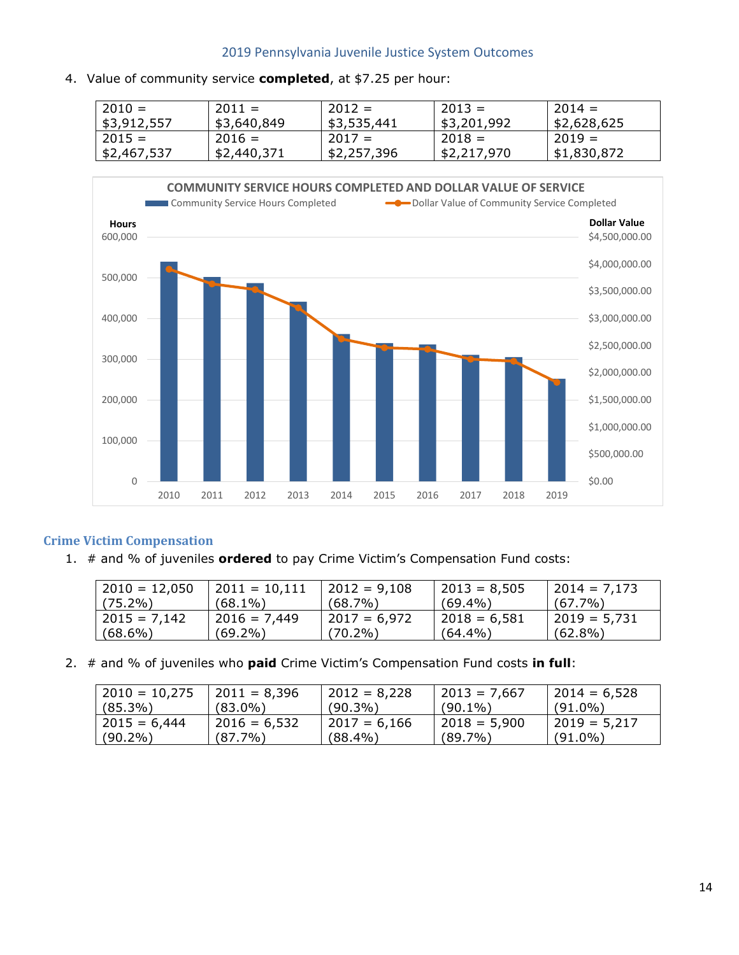4. Value of community service **completed**, at \$7.25 per hour:

| $2010 =$    | $2011 =$    | $2012 =$    | $2013 =$    | $2014 =$    |
|-------------|-------------|-------------|-------------|-------------|
| \$3,912,557 | \$3,640,849 | \$3,535,441 | \$3,201,992 | \$2,628,625 |
| $2015 =$    | $2016 =$    | $2017 =$    | $2018 =$    | $2019 =$    |
| \$2,467,537 | \$2,440,371 | \$2,257,396 | \$2,217,970 | \$1,830,872 |

![](_page_14_Figure_3.jpeg)

#### **Crime Victim Compensation**

1. # and % of juveniles **ordered** to pay Crime Victim's Compensation Fund costs:

| $2010 = 12,050$ | $2011 = 10,111$ | $2012 = 9,108$ | $ 2013 = 8,505$ | $ 2014 = 7,173$ |
|-----------------|-----------------|----------------|-----------------|-----------------|
| $(75.2\%)$      | $(68.1\%)$      | $(68.7\%)$     | $(69.4\%)$      | $(67.7\%)$      |
| $2015 = 7.142$  | $2016 = 7,449$  | 2017 = 6,972   | l 2018 = 6,581  | l 2019 = 5,731  |
| (68.6%)         | (69.2%)         | $(70.2\%)$     | $(64.4\%)$      | $(62.8\%)$      |

2. # and % of juveniles who **paid** Crime Victim's Compensation Fund costs **in full**:

| $ 2010 = 10,275$ | $ 2011 = 8,396$ | $2012 = 8,228$ | $ 2013 = 7,667$ | $ 2014 = 6,528$ |
|------------------|-----------------|----------------|-----------------|-----------------|
| (85.3%)          | $(83.0\%)$      | $(90.3\%)$     | $(90.1\%)$      | $(91.0\%)$      |
| 2015 = 6,444     | $2016 = 6,532$  | $2017 = 6.166$ | 2018 = 5,900    | $12019 = 5.217$ |
| $(90.2\%)$       | $(87.7\%)$      | $(88.4\%)$     | $(89.7\%)$      | $(91.0\%)$      |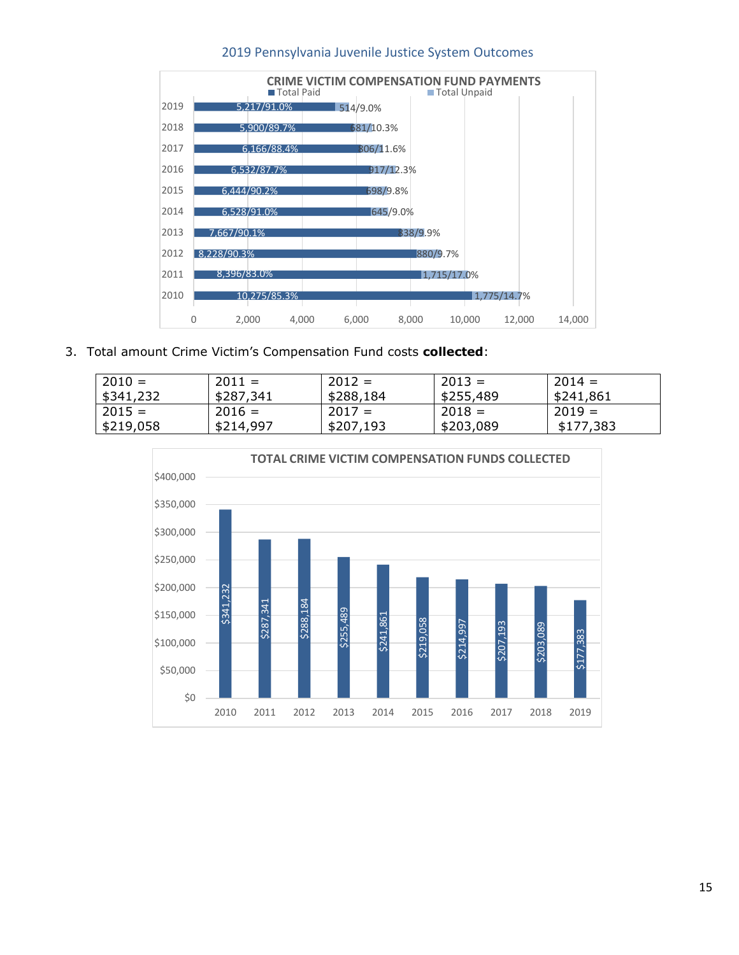![](_page_15_Figure_0.jpeg)

3. Total amount Crime Victim's Compensation Fund costs **collected**:

| $2010 =$  | $2011 =$  | $2012 =$  | $2013 =$  | $2014 =$  |
|-----------|-----------|-----------|-----------|-----------|
| 5341,232  | \$287,341 | \$288,184 | \$255,489 | \$241,861 |
| $2015 =$  | $2016 =$  | $2017 =$  | $2018 =$  | $2019 =$  |
| \$219,058 | \$214,997 | \$207,193 | \$203,089 | \$177,383 |

![](_page_15_Figure_4.jpeg)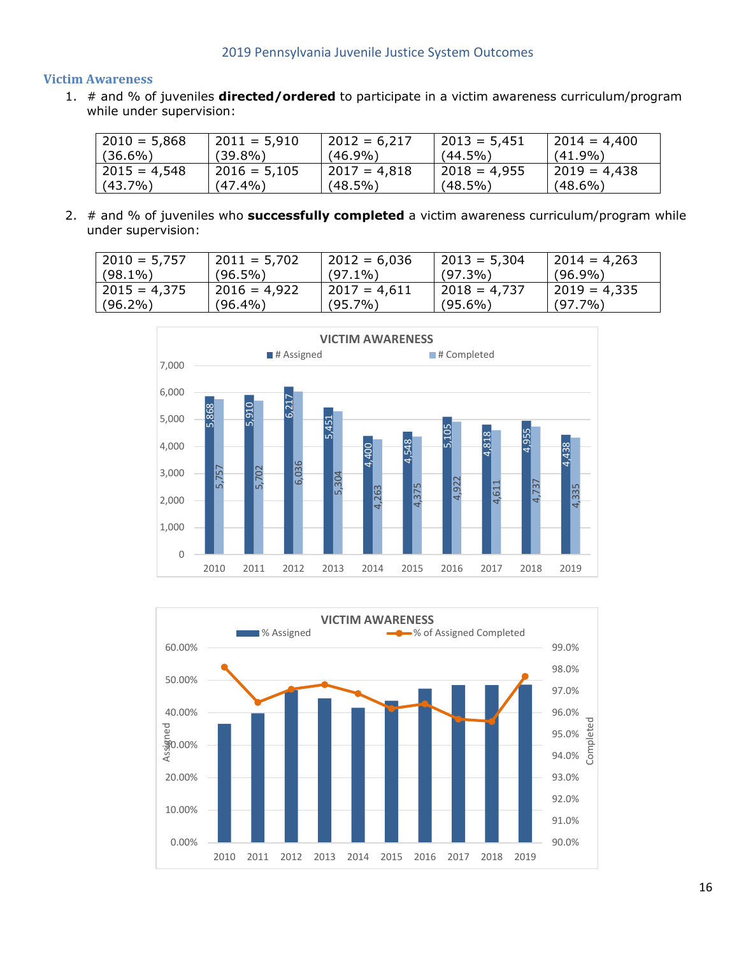#### **Victim Awareness**

1. # and % of juveniles **directed/ordered** to participate in a victim awareness curriculum/program while under supervision:

| $2010 = 5,868$  | $2011 = 5,910$ | $2012 = 6,217$  | $2013 = 5,451$  | $2014 = 4,400$ |
|-----------------|----------------|-----------------|-----------------|----------------|
| $(36.6\%)$      | $(39.8\%)$     | $(46.9\%)$      | $(44.5\%)$      | $(41.9\%)$     |
| $ 2015 = 4,548$ | $2016 = 5,105$ | $12017 = 4,818$ | $12018 = 4.955$ | $2019 = 4.438$ |
| $(43.7\%)$      | $(47.4\%)$     | (48.5%)         | $(48.5\%)$      | $(48.6\%)$     |

2. # and % of juveniles who **successfully completed** a victim awareness curriculum/program while under supervision:

| $2010 = 5,757$ | $2011 = 5,702$ | $2012 = 6,036$ | $ 2013 = 5,304$ | $ 2014 = 4,263$ |
|----------------|----------------|----------------|-----------------|-----------------|
| $(98.1\%)$     | $(96.5\%)$     | $(97.1\%)$     | $(97.3\%)$      | $(96.9\%)$      |
| $2015 = 4.375$ | $2016 = 4.922$ | 2017 = 4.611   | l 2018 = 4,737  | $ 2019 = 4,335$ |
| $(96.2\%)$     | $(96.4\%)$     | $(95.7\%)$     | $(95.6\%)$      | $(97.7\%)$      |

![](_page_16_Figure_6.jpeg)

![](_page_16_Figure_7.jpeg)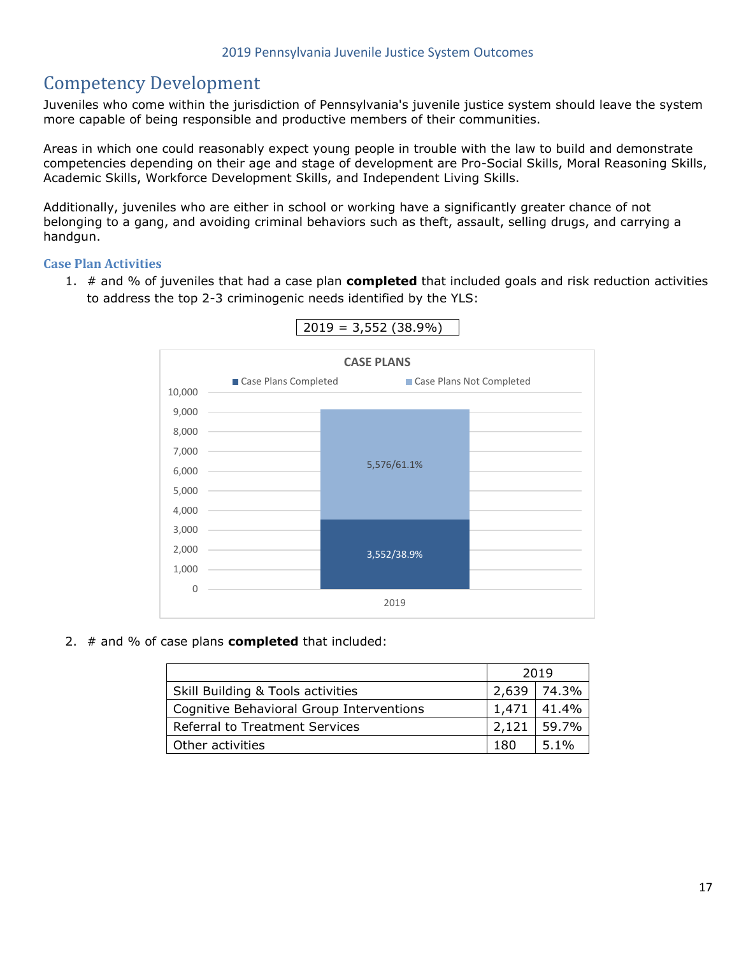# Competency Development

Juveniles who come within the jurisdiction of Pennsylvania's juvenile justice system should leave the system more capable of being responsible and productive members of their communities.

Areas in which one could reasonably expect young people in trouble with the law to build and demonstrate competencies depending on their age and stage of development are Pro-Social Skills, Moral Reasoning Skills, Academic Skills, Workforce Development Skills, and Independent Living Skills.

Additionally, juveniles who are either in school or working have a significantly greater chance of not belonging to a gang, and avoiding criminal behaviors such as theft, assault, selling drugs, and carrying a handgun.

#### **Case Plan Activities**

1. # and % of juveniles that had a case plan **completed** that included goals and risk reduction activities to address the top 2-3 criminogenic needs identified by the YLS:

![](_page_17_Figure_7.jpeg)

![](_page_17_Figure_8.jpeg)

2. # and % of case plans **completed** that included:

|                                          | 2019    |         |
|------------------------------------------|---------|---------|
| Skill Building & Tools activities        | $2,639$ | 74.3%   |
| Cognitive Behavioral Group Interventions |         | 141.4%  |
| Referral to Treatment Services           |         | 59.7%   |
| Other activities                         |         | $5.1\%$ |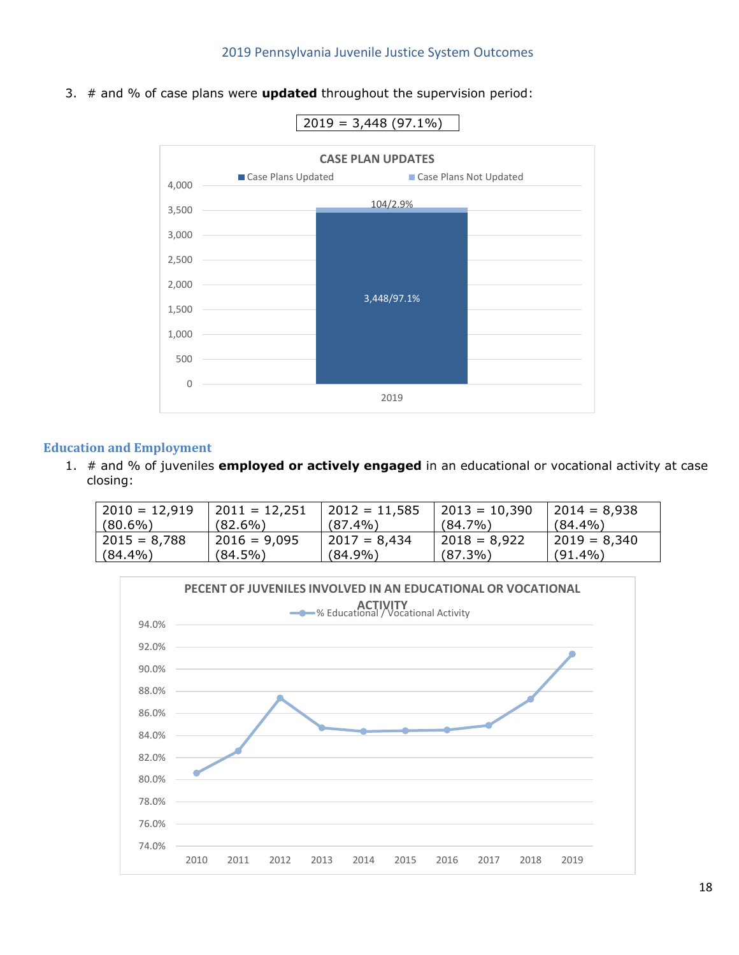3. # and % of case plans were **updated** throughout the supervision period:

![](_page_18_Figure_2.jpeg)

#### **Education and Employment**

1. # and % of juveniles **employed or actively engaged** in an educational or vocational activity at case closing:

| $2010 = 12,919$ | 2011 = 12,251  | $2012 = 11,585$ | $ 2013 = 10,390$ | $2014 = 8,938$  |
|-----------------|----------------|-----------------|------------------|-----------------|
| $(80.6\%)$      | $(82.6\%)$     | $(87.4\%)$      | $(84.7\%)$       | $(84.4\%)$      |
| $2015 = 8,788$  | $2016 = 9,095$ | $2017 = 8.434$  | $2018 = 8,922$   | $ 2019 = 8,340$ |
| $(84.4\%)$      | $(84.5\%)$     | $(84.9\%)$      | $(87.3\%)$       | $(91.4\%)$      |

![](_page_18_Figure_6.jpeg)